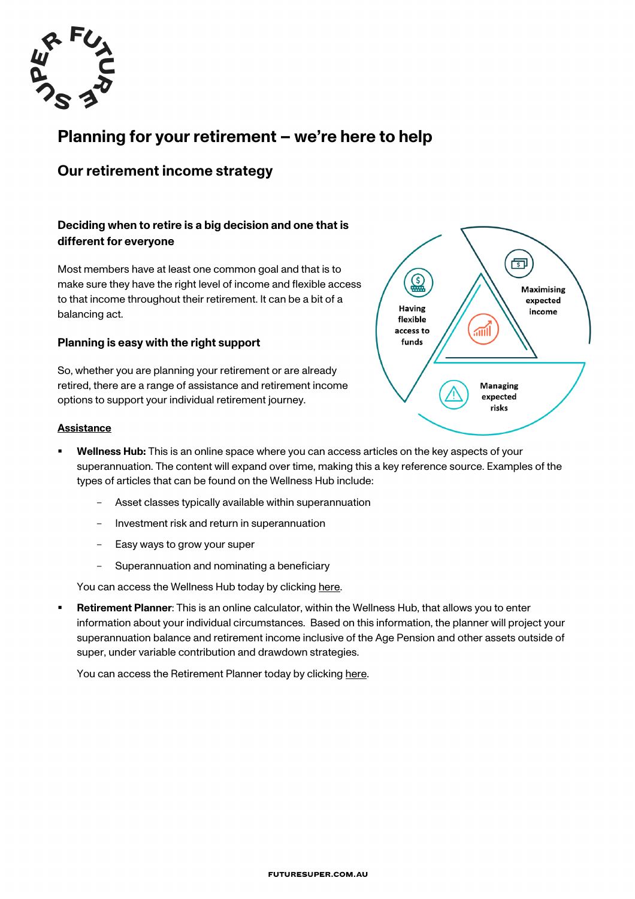

# **Planning for your retirement – we're here to help**

## **Our retirement income strategy**

### **Deciding when to retire is a big decision and one that is different for everyone**

Most members have at least one common goal and that is to make sure they have the right level of income and flexible access to that income throughout their retirement. It can be a bit of a balancing act.

#### **Planning is easy with the right support**

So, whether you are planning your retirement or are already retired, there are a range of assistance and retirement income options to support your individual retirement journey.



#### **Assistance**

- § **Wellness Hub:** This is an online space where you can access articles on the key aspects of your superannuation. The content will expand over time, making this a key reference source. Examples of the types of articles that can be found on the Wellness Hub include:
	- Asset classes typically available within superannuation
	- Investment risk and return in superannuation
	- Easy ways to grow your super
	- Superannuation and nominating a beneficiary

You can access the Wellness Hub today by clicking here.

§ **Retirement Planner**: This is an online calculator, within the Wellness Hub, that allows you to enter information about your individual circumstances. Based on this information, the planner will project your superannuation balance and retirement income inclusive of the Age Pension and other assets outside of super, under variable contribution and drawdown strategies.

You can access the Retirement Planner today by clicking here.